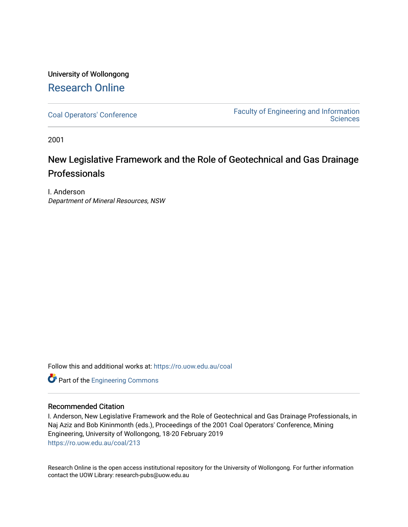### University of Wollongong [Research Online](https://ro.uow.edu.au/)

[Coal Operators' Conference](https://ro.uow.edu.au/coal) [Faculty of Engineering and Information](https://ro.uow.edu.au/eis)  **Sciences** 

2001

## New Legislative Framework and the Role of Geotechnical and Gas Drainage Professionals

I. Anderson Department of Mineral Resources, NSW

Follow this and additional works at: [https://ro.uow.edu.au/coal](https://ro.uow.edu.au/coal?utm_source=ro.uow.edu.au%2Fcoal%2F213&utm_medium=PDF&utm_campaign=PDFCoverPages) 

Part of the [Engineering Commons](http://network.bepress.com/hgg/discipline/217?utm_source=ro.uow.edu.au%2Fcoal%2F213&utm_medium=PDF&utm_campaign=PDFCoverPages)

### Recommended Citation

I. Anderson, New Legislative Framework and the Role of Geotechnical and Gas Drainage Professionals, in Naj Aziz and Bob Kininmonth (eds.), Proceedings of the 2001 Coal Operators' Conference, Mining Engineering, University of Wollongong, 18-20 February 2019 [https://ro.uow.edu.au/coal/213](https://ro.uow.edu.au/coal/213?utm_source=ro.uow.edu.au%2Fcoal%2F213&utm_medium=PDF&utm_campaign=PDFCoverPages) 

Research Online is the open access institutional repository for the University of Wollongong. For further information contact the UOW Library: research-pubs@uow.edu.au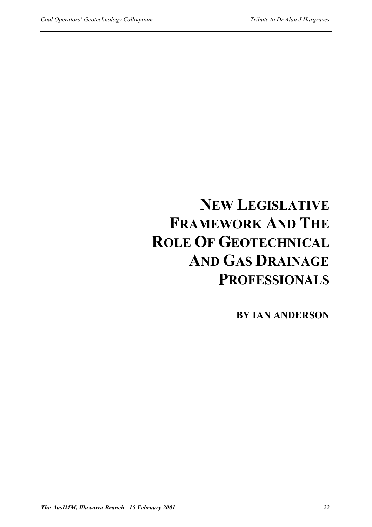# **NEW LEGISLATIVE FRAMEWORK AND THE ROLE OF GEOTECHNICAL AND GAS DRAINAGE PROFESSIONALS**

**BY IAN ANDERSON**